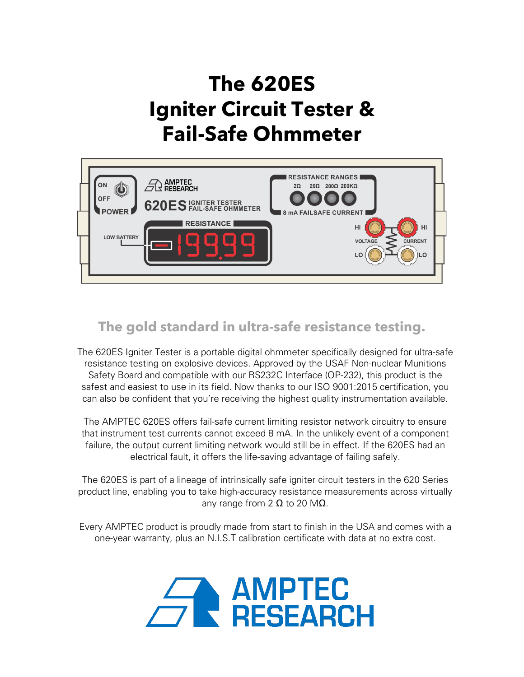# **The 620ES Igniter Circuit Tester & Fail-Safe Ohmmeter**



# **The gold standard in ultra-safe resistance testing.**

The 620ES Igniter Tester is a portable digital ohmmeter specifically designed for ultra-safe resistance testing on explosive devices. Approved by the USAF Non-nuclear Munitions Safety Board and compatible with our RS232C Interface (OP-232), this product is the safest and easiest to use in its field. Now thanks to our ISO 9001:2015 certification, you can also be confident that you're receiving the highest quality instrumentation available.

The AMPTEC 620ES offers fail-safe current limiting resistor network circuitry to ensure that instrument test currents cannot exceed 8 mA. In the unlikely event of a component failure, the output current limiting network would still be in effect. If the 620ES had an electrical fault, it offers the life-saving advantage of failing safely.

The 620ES is part of a lineage of intrinsically safe igniter circuit testers in the 620 Series product line, enabling you to take high-accuracy resistance measurements across virtually any range from 2  $\Omega$  to 20 M $\Omega$ .

Every AMPTEC product is proudly made from start to finish in the USA and comes with a one-year warranty, plus an N.I.S.T calibration certificate with data at no extra cost.

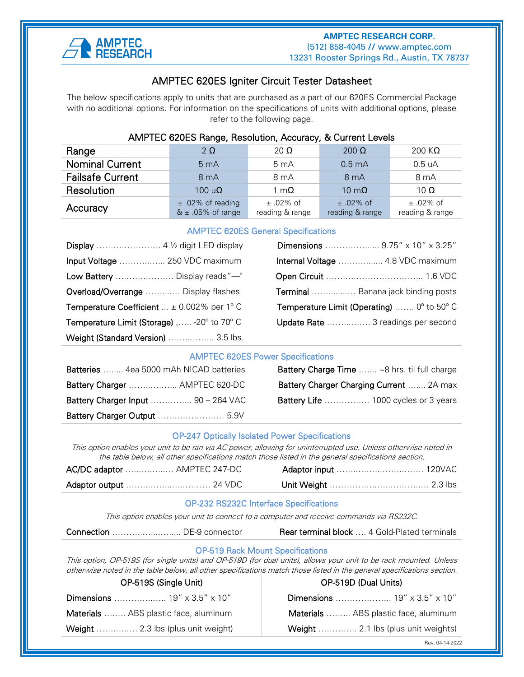

### ֧֪֚֞֝֬֝֬֝֬֝֬֝֬֝ AMPTEC 620ES Igniter Circuit Tester Datasheet

The below specifications apply to units that are purchased as a part of our 620ES Commercial Package with no additional options. For information on the specifications of units with additional options, please refer to the following page.

| AMPTEC 620ES Range, Resolution, Accuracy, & Current Levels |                                               |                                  |                                  |                                |
|------------------------------------------------------------|-----------------------------------------------|----------------------------------|----------------------------------|--------------------------------|
| Range                                                      | $2\Omega$                                     | 20 $\Omega$                      | $200 \Omega$                     | 200 K $\Omega$                 |
| <b>Nominal Current</b>                                     | 5 <sub>m</sub> A                              | $5 \text{ mA}$                   | 0.5 <sub>m</sub> A               | 0.5 uA                         |
| <b>Failsafe Current</b>                                    | 8 <sub>m</sub> A                              | 8 <sub>m</sub> A                 | 8 <sub>m</sub> A                 | 8 mA                           |
| Resolution                                                 | $100 u\Omega$                                 | 1 m $\Omega$                     | 10 m $\Omega$                    | 10 $\Omega$                    |
| Accuracy                                                   | $±.02\%$ of reading<br>$& \pm .05\%$ of range | $\pm$ .02% of<br>reading & range | $\pm$ .02% of<br>reading & range | $±.02\%$ of<br>reading & range |

#### AMPTEC 620ES General Specifications

|                                                      | Dimensions  9.75" x 10" x 3.25"                                     |
|------------------------------------------------------|---------------------------------------------------------------------|
| Input Voltage  250 VDC maximum                       | Internal Voltage  4.8 VDC maximum                                   |
| Low Battery  Display reads"—"                        |                                                                     |
| Overload/Overrange  Display flashes                  | Terminal  Banana jack binding posts                                 |
| <b>Temperature Coefficient</b> $\pm$ 0.002% per 1° C | <b>Temperature Limit (Operating)</b> $0^{\circ}$ to 50 $^{\circ}$ C |
| Temperature Limit (Storage)  -20° to 70° C           | Update Rate  3 readings per second                                  |
| Weight (Standard Version)  3.5 lbs.                  |                                                                     |

#### AMPTEC 620ES Power Specifications

| Batteries  4ea 5000 mAh NICAD batteries    | <b>Battery Charge Time  ~8 hrs. til full charge</b> |
|--------------------------------------------|-----------------------------------------------------|
| Battery Charger  AMPTEC 620-DC             | Battery Charger Charging Current  2A max            |
| <b>Battery Charger Input  90 - 264 VAC</b> | <b>Battery Life</b> 1000 cycles or 3 years          |
|                                            |                                                     |

| Batteries  4ea 5000 mAh NICAD batteries    | <b>Battery Charge Time</b> ~8 hrs. til full charge |
|--------------------------------------------|----------------------------------------------------|
| Battery Charger  AMPTEC 620-DC             | Battery Charger Charging Current  2A max           |
| <b>Battery Charger Input  90 - 264 VAC</b> | <b>Battery Life</b> 1000 cycles or 3 years         |

#### OP-247 Optically Isolated Power Specifications

This option enables your unit to be ran via AC power, allowing for uninterrupted use. Unless otherwise noted in the table below, all other specifications match those listed in the general specifications section.

| AC/DC adaptor  AMPTEC 247-DC |  |  |
|------------------------------|--|--|
|                              |  |  |

#### OP-232 RS232C Interface Specifications

This option enables your unit to connect to a computer and receive commands via RS232C.

| Connection  DE-9 connector |  |
|----------------------------|--|
|----------------------------|--|

```
Rear terminal block .... 4 Gold-Plated terminals
```
#### OP-519 Rack Mount Specifications

This option, OP-519S (for single units) and OP-519D (for dual units), allows your unit to be rack mounted. Unless otherwise noted in the table below, all other specifications match those listed in the general specifications section.

|                                       | OP-5195 (Single Unit) |
|---------------------------------------|-----------------------|
| Dimensions  19" x 3.5" x 10"          |                       |
| Materials  ABS plastic face, aluminum |                       |
| Weight  2.3 lbs (plus unit weight)    |                       |

## OP-519S (Single Unit) OP-519D (Dual Units)

Dimensions ………………... 19" x 3.5" x 10"

Materials ………. ABS plastic face, aluminum

Weight ………….. 2.1 lbs (plus unit weights)